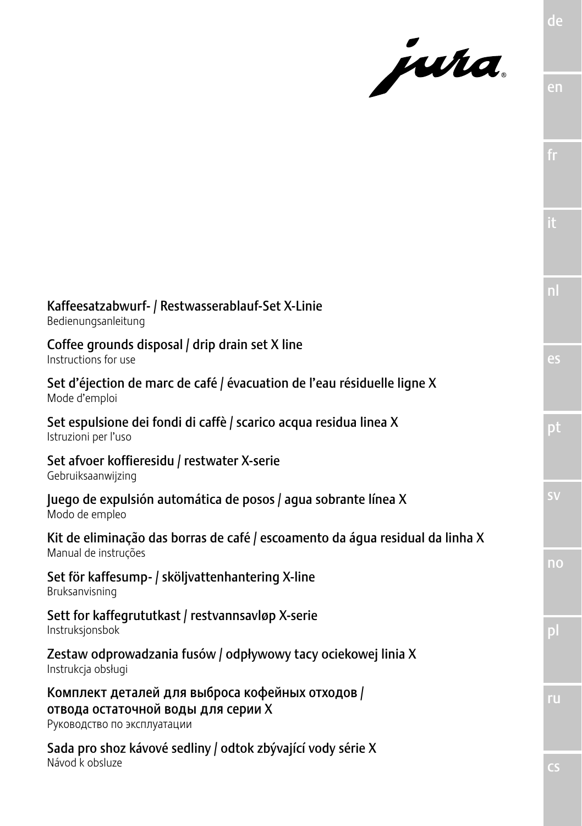jura.

|                                                                                                                      | it                                |
|----------------------------------------------------------------------------------------------------------------------|-----------------------------------|
|                                                                                                                      | $\overline{\mathsf{n}}$           |
| Kaffeesatzabwurf- / Restwasserablauf-Set X-Linie<br>Bedienungsanleitung                                              |                                   |
| Coffee grounds disposal / drip drain set X line<br>Instructions for use                                              | es                                |
| Set d'éjection de marc de café / évacuation de l'eau résiduelle ligne X<br>Mode d'emploi                             |                                   |
| Set espulsione dei fondi di caffè / scarico acqua residua linea X<br>Istruzioni per l'uso                            | pt                                |
| Set afvoer koffieresidu / restwater X-serie<br>Gebruiksaanwijzing                                                    |                                   |
| Juego de expulsión automática de posos / aqua sobrante línea X<br>Modo de empleo                                     | $\overline{\mathsf{S}}\mathsf{V}$ |
| Kit de eliminação das borras de café / escoamento da áqua residual da linha X<br>Manual de instruções                |                                   |
| Set för kaffesump- / sköljvattenhantering X-line<br>Bruksanvisning                                                   | $\overline{\mathsf{n}}$           |
| Sett for kaffegrututkast / restvannsavløp X-serie<br>Instruksjonsbok                                                 | pl                                |
| Zestaw odprowadzania fusów / odpływowy tacy ociekowej linia X<br>Instrukcja obsługi                                  |                                   |
| Комплект деталей для выброса кофейных отходов /<br>отвода остаточной воды для серии Х<br>Руководство по эксплуатации | ru                                |
| Sada pro shoz kávové sedliny / odtok zbývající vody série X<br>Návod k obsluze                                       |                                   |

fr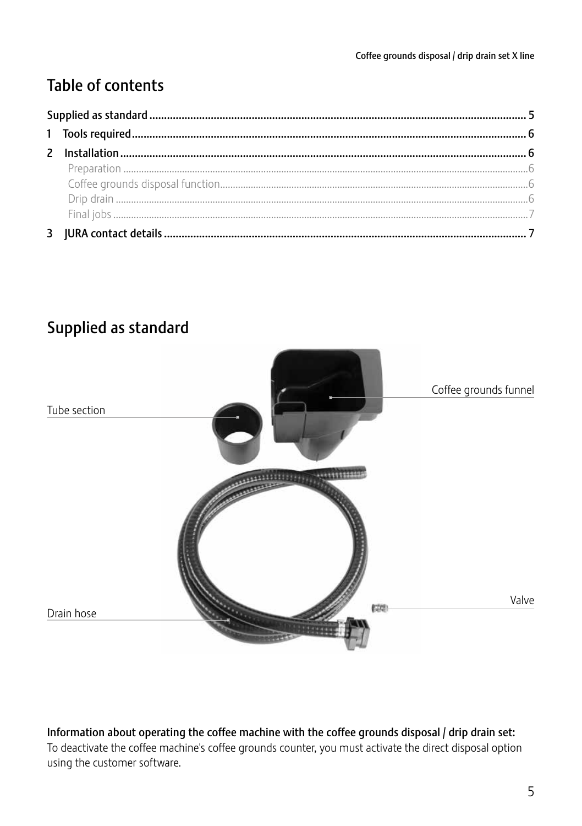# **Table of contents**



# Supplied as standard

#### Information about operating the coffee machine with the coffee grounds disposal / drip drain set: To deactivate the coffee machine's coffee grounds counter, you must activate the direct disposal option using the customer software.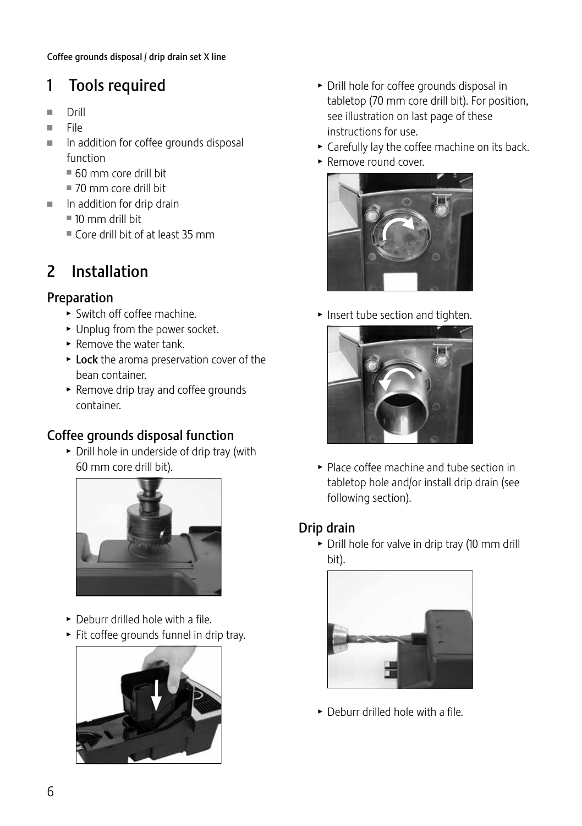# 1 Tools required

- Drill<br>■ File
- File<br>■ In a
- In addition for coffee grounds disposal function
	- $= 60$  mm core drill bit
	- $\equiv$  70 mm core drill bit
- $\blacksquare$  In addition for drip drain
	- $10$  mm drill bit
	- $\blacksquare$  Core drill bit of at least 35 mm

# 2 Installation

# Preparation

- $\blacktriangleright$  Switch off coffee machine.
- $\blacktriangleright$  Unplug from the power socket.
- $\blacktriangleright$  Remove the water tank.
- $\triangleright$  Lock the aroma preservation cover of the bean container.
- **F** Remove drip tray and coffee grounds container.

# Coffee grounds disposal function

 $\triangleright$  Drill hole in underside of drip tray (with 60 mm core drill bit).



- $\triangleright$  Deburr drilled hole with a file.
- $\blacktriangleright$  Fit coffee grounds funnel in drip tray.



- $\triangleright$  Drill hole for coffee grounds disposal in tabletop (70 mm core drill bit). For position, see illustration on last page of these instructions for use.
- $\triangleright$  Carefully lay the coffee machine on its back.
- $\blacktriangleright$  Remove round cover.



 $\blacktriangleright$  Insert tube section and tighten.



 $\blacktriangleright$  Place coffee machine and tube section in tabletop hole and/or install drip drain (see following section).

# Drip drain

 $\triangleright$  Drill hole for valve in drip tray (10 mm drill bit).



 $\triangleright$  Deburr drilled hole with a file.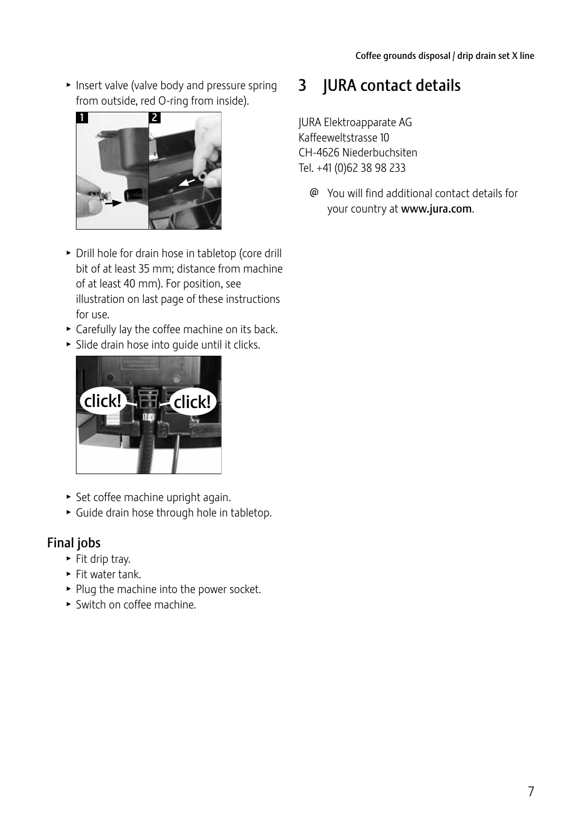$\blacktriangleright$  Insert valve (valve body and pressure spring from outside, red O-ring from inside).



- $\triangleright$  Drill hole for drain hose in tabletop (core drill bit of at least 35 mm; distance from machine of at least 40 mm). For position, see illustration on last page of these instructions for use.
- $\triangleright$  Carefully lay the coffee machine on its back.
- $\triangleright$  Slide drain hose into quide until it clicks.



- $\blacktriangleright$  Set coffee machine upright again.
- $\triangleright$  Guide drain hose through hole in tabletop.

# Final jobs

- $\blacktriangleright$  Fit drip tray.
- $\blacktriangleright$  Fit water tank.
- $\blacktriangleright$  Plug the machine into the power socket.
- $\triangleright$  Switch on coffee machine.

# 3 JURA contact details

JURA Elektroapparate AG Kaffeeweltstrasse 10 CH-4626 Niederbuchsiten Tel. +41 (0)62 38 98 233

@ You will find additional contact details for your country at www.jura.com.